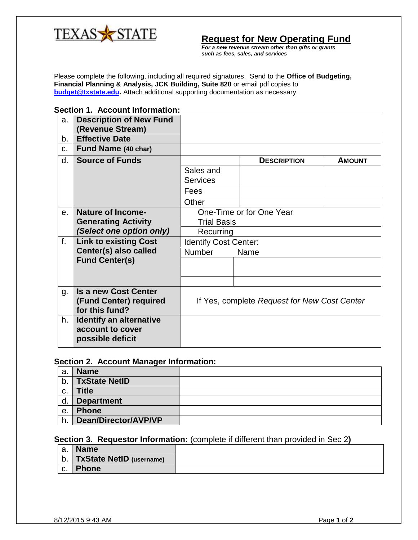

**Request for New Operating Fund**

*For a new revenue stream other than gifts or grants such as fees, sales, and services*

Please complete the following, including all required signatures. Send to the **Office of Budgeting, Financial Planning & Analysis, JCK Building, Suite 820** or email pdf copies to **[budget@txstate.edu.](mailto:budget@txstate.edu)** Attach additional supporting documentation as necessary.

## **Section 1. Account Information:**

| a.          | <b>Description of New Fund</b><br>(Revenue Stream)                      |                                              |                    |               |  |
|-------------|-------------------------------------------------------------------------|----------------------------------------------|--------------------|---------------|--|
| b.          | <b>Effective Date</b>                                                   |                                              |                    |               |  |
| c.          | Fund Name (40 char)                                                     |                                              |                    |               |  |
| d.          | <b>Source of Funds</b>                                                  |                                              | <b>DESCRIPTION</b> | <b>AMOUNT</b> |  |
|             |                                                                         | Sales and<br><b>Services</b>                 |                    |               |  |
|             |                                                                         | Fees                                         |                    |               |  |
|             |                                                                         | Other                                        |                    |               |  |
| $\theta$ .  | <b>Nature of Income-</b>                                                | One-Time or for One Year                     |                    |               |  |
|             | <b>Generating Activity</b>                                              | <b>Trial Basis</b>                           |                    |               |  |
|             | (Select one option only)                                                | Recurring                                    |                    |               |  |
| $f_{\cdot}$ | <b>Link to existing Cost</b>                                            | <b>Identify Cost Center:</b>                 |                    |               |  |
|             | Center(s) also called                                                   | <b>Number</b><br>Name                        |                    |               |  |
|             | <b>Fund Center(s)</b>                                                   |                                              |                    |               |  |
|             |                                                                         |                                              |                    |               |  |
|             |                                                                         |                                              |                    |               |  |
| g.          | <b>Is a new Cost Center</b><br>(Fund Center) required<br>for this fund? | If Yes, complete Request for New Cost Center |                    |               |  |
| h.          | <b>Identify an alternative</b><br>account to cover<br>possible deficit  |                                              |                    |               |  |

## **Section 2. Account Manager Information:**

| а. | <b>Name</b>          |  |
|----|----------------------|--|
| b. | <b>TxState NetID</b> |  |
| C. | <b>Title</b>         |  |
| d. | <b>Department</b>    |  |
| е. | <b>Phone</b>         |  |
| h. | Dean/Director/AVP/VP |  |

## **Section 3. Requestor Information:** (complete if different than provided in Sec 2**)**

| а. | <b>Name</b>                   |  |
|----|-------------------------------|--|
|    | b.   TxState NetID (username) |  |
| C. | <b>Phone</b>                  |  |